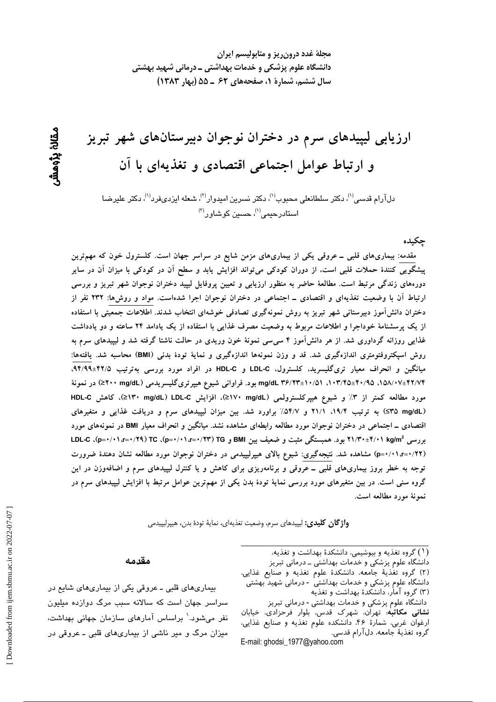مجلهٔ غدد درون ریز و متابولیسم ایران دانشگاه علوم پزشکی و خدمات بهداشتی ــ درمانی شهید بهشتی سال ششم، شمارة ١، صفحههای ۶۲ ـ ۵۵ (بهار ۱۳۸۳)

ارزیابی لیپیدهای سرم در دختران نوجوان دبیرستانهای شهر تبریز و ارتباط عوامل اجتماعی اقتصادی و تغذیهای با آن

دلآرام قدسی<sup>(۱</sup>)، دکتر سلطانعلی محبوب<sup>(۱)</sup>، دکتر نسرین امیدوار<sup>(۲)</sup>، شعله ایزدیفرد<sup>(۱)</sup>، دکتر علیرضا استادرحی*می*''، حسین کوشاور<sup>(۳)</sup>

چکیده

مقدمه: بیماریهای قلبی ــ عروقی یکی از بیماریهای مزمن شایع در سراسر جهان است. کلسترول خون که مهمترین ییشگویی کنندهٔ حملات قلبی است، از دوران کودکی میتواند افزایش یابد و سطح آن در کودکی با میزان آن در سایر دورههای زندگی مرتبط است. مطالعهٔ حاضر به منظور ارزیابی و تعیین پروفایل لیپید دختران نوجوان شهر تبریز و بررسی ارتباط آن با وضعیت تغذیهای و اقتصادی ــ اجتماعی در دختران نوجوان اجرا شدهاست. مواد و روشها: ۲۳۲ نفر از دختران دانش آموز دبیرستانی شهر تبریز به روش نمونهگیری تصادفی خوشهای انتخاب شدند. اطلاعات جمعیتی با استفاده از یک پرسشنامهٔ خوداجرا و اطلاعات مربوط به وضعیت مصرف غذایی با استفاده از یک یادامد ۲۴ ساعته و دو یادداشت غذایی روزانه گرداوری شد. از هر دانش[موز ۴ سی٬سی نمونهٔ خون وریدی در حالت ناشتا گرفته شد و لیپیدهای سرم به روش اسیکتروفتومتری اندازهگیری شد. قد و وزن نمونهها اندازهگیری و نمایهٔ تودهٔ بدنی (BMI) محاسبه شد. یافتهها: میانگین و انحراف معیار تریگلیسرید، کلسترول، LDL-C و HDL-C در افراد مورد بررسی بهترتیب ۹۴/۹۹±۴۲/۵. mg/dL ۳۶/۲۳±۱۰/۵۱ ،۱۰۳/۴۵±۴۰/۹۵ ،۱۰۳/۴۵ بود. فراوانی شیوع هیپرتریگلیسریدمی (۲۰۰ mg/dL≥) در نمونهٔ مورد مطالعه کمتر از ۳٪ و شیوع هیپرکلسترولمی (L>۱۷۰ mg/dL)، افزایش LDL-C\> mg/dL)، کاهش HDL-C (S۳۵ mg/dL) به ترتیب ۱۹/۴، ۲۱/۱ و ۵۴/۷٪ براورد شد. بین میزان لیپیدهای سرم و دریافت غذایی و متغیرهای اقتصادی ــ اجتماعی در دختران نوجوان مورد مطالعه رابطهای مشاهده نشد. میانگین و انحراف معیار BMI در نمونههای مورد بررسی ۲۱/۳۰±۴/۰۱ kg/m2 بود. همبستگی مثبت و ضعیف بین BMI و F+/۱/۳=۰/۱/۲۳ (p=۰/۰۱،r=۰/۲۹)، C (p=۰/۰۱،r (p=۰/۰۱،r=۰/۲۲) مشاهده شد. نتیجهگیری: شیوع بالای هیپرلیپیدمی در دختران نوجوان مورد مطالعه نشان دهندهٔ ضرورت توجه به خطر بروز بیماریهای قلبی ــ عروقی و برنامهریزی برای کاهش و یا کنترل لیپیدهای سرم و اضافهوزن در این گروه سنی است. در بین متغیرهای مورد بررسی نمایهٔ تودهٔ بدن یکی از مهمترین عوامل مرتبط با افزایش لیپیدهای سرم در نمونهٔ مورد مطالعه است.

**واژگان كليدى:** ليپيدهاى سرم، وضعيت تغذيهاى، نمايهٔ تودهٔ بدن، هيپرليپيدمى

#### مقدمه

بیماریهای قلبی ـ عروقی یکی از بیماریهای شایع در سراسر جهان است که سالانه سبب مرگ دوازده میلیون نفر میشود.<sup>\</sup> براساس آمارهای سازمان جهانی بهداشت، میزان مرگ و میر ناشی از بیماریهای قلبی ـ عروقی در (۱) گروه تغذیه و بیوشیمی، دانشکدهٔ بهداشت و تغذیه،

دانشگاه علوم پزشکی و خدمات بهداشتی ــ درمانی تبریز (٢) گروه تغذية جامعه، دانشكدة علوم تغذيه و صنايع غذايي، دانشگاه علوم پزشکی و خدمات بهداشتی - درمانی شهید بهشتی

(۳) گروه آمار، دانشکدهٔ بهداشت و تغذیه

دانشگاه علوم پزشکی و خدمات بهداشتی - درمانی تبریز نشانی مکاتبه: تهران، شهرک قدس، بلوار فرحزادی، خیابان ارغوان غربي، شمارهٔ ۴۶، دانشكده علوم تغذيه و صنايع غذايي، گروه تغذيهٔ جامعه، دلآرام قدسي. E-mail: ghodsi\_1977@yahoo.com

ىقانۇ يۆھش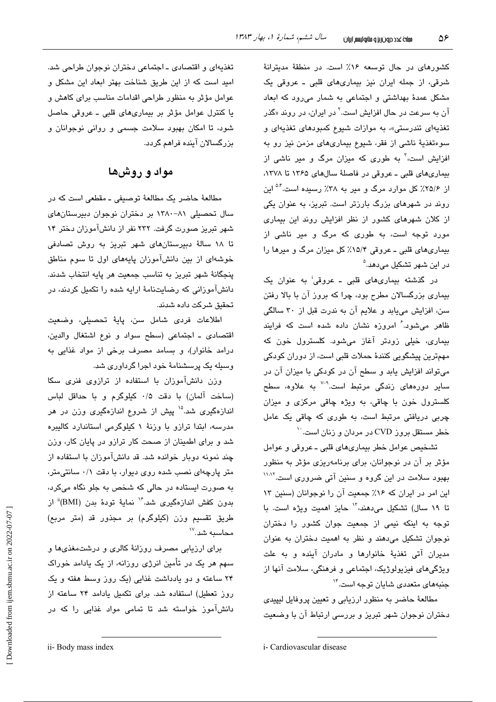کشورهای در حال توسعه ۱۶٪ است. در منطقهٔ مدیترانهٔ شرقی، از جمله ایران نیز بیماریهای قلبی ـ عروقی یک مشکل عمدهٔ بهداشتی و اجتماعی به شمار میرود که ابعاد آن به سرعت در حال افزایش است.<sup>۲</sup> در ایران، در روند «گذر تغذیهای تندرستی»، به موازات شیوع کمبودهای تغذیهای و سوءتغذیهٔ ناشی از فقر، شیوع بیماریهای مزمن نیز رو به افزایش است،<sup>۳</sup> به طوری که میزان مرگ و میر ناش*ی* از بیماریهای قلبی ـ عروقی در فاصلهٔ سالهای ۱۳۶۵ تا ۱۳۷۸، از ۲۵/۶٪ کل موارد مرگ و میر به ۳۸٪ رسیده است.<sup>۵۰ </sup>این روند در شهرهای بزرگ بارزتر است. تبریز، به عنوان یکی از کلان شهرهای کشور از نظر افزایش روند این بیماری مورد توجه است، به طوری که مرگ و میر ناشی از بیماریهای قلبی ـ عروقی ۱۵/۴٪ کل میزان مرگ و میرها را در این شهر تشکیل مے،دهد.<sup>۵</sup>

در گذشته بیماریهای قلبی ـ عروقی<sup>:</sup> به عنوان یک بیماری بزرگسالان مطرح بود، چرا که بروز آن با بالا رفتن سن، افزایش مییابد و علایم آن به ندرت قبل از ۳۰ سالگی ظاهر می شود.<sup>۶</sup> امروزه نشان داده شده است که فرایند بیماری، خیلی زودتر آغاز میشود. کلسترول خون که مهمترین پیشگویی کنندهٔ حملات قلبی است، از دوران کودکی میتواند افزایش یابد و سطح آن در کودکی با میزان آن در سایر دورههای زندگی مرتبط است.<sup>۹-۷</sup> به علاوه، سطح کلسترول خون با چاقی، به ویژه چاقی مرکزی و میزان چربی دریافتی مرتبط است، به طوری که چاقی یک عامل خطر مستقل بروز CVD در مردان و زنان است.<sup>۱۰</sup>

تشخيص عوامل خطر بيماري هاي قلبي ـ عروقي و عوامل مؤثر پر آن در نوجوانان، پرای پرنامهریزی مؤثر به منظور بهبود سلامت در این گروه و سنین آتی ضروری است.<sup>۱۱٬۱۲</sup> این امر در ایران که ۱۶٪ جمعیت آن را نوجوانان (سنین ۱۳ تا ۱۹ سال) تشکیل میدهند، <sup>۱۳</sup> حایز ا*ه*میت ویژه است. با توجه به اینکه نیمی از جمعیت جوان کشور را دختران نوجوان تشکیل می دهند و نظر به اهمیت دختران به عنوان مديران آتى تغذيۀ خانوارها و مادران آينده و به علت ویژگیهای فیزیولوژیک، اجتماعی و فرهنگی، سلامت آنها از جنبههای متعددی شایان توجه است.<sup>۱۴</sup>

مطالعهٔ حاضر به منظور ارزیابی و تعیین پروفایل لیپیدی دختران نوجوان شهر تبریز و بررسی ارتباط آن با وضعیت

تغذیهای و اقتصادی ـ اجتماعی دختران نوجوان طراحی شد. امید است که از این طریق شناخت بهتر ابعاد این مشکل و عوامل مؤثر به منظور طراحی اقدامات مناسب برای کاهش و يا كنترل عوامل مؤثر بر بيماري هاي قلبي - عروقي حاصل شود، تا امکان بهبود سلامت جسمی و روانی نوجوانان و بزرگسالان آینده فراهم گردد.

# مواد و روشها

مطالعهٔ حاضر یک مطالعهٔ توصیفی ـ مقطعی است که در سال تحصیلی ۸۱-۱۳۸۰ بر دختران نوجوان دبیرستانهای شهر تبریز صورت گرفت. ۲۳۲ نفر از دانشآموزان دختر ۱۴ تا ۱۸ سالهٔ دبیرستانهای شهر تبریز به روش تصادفی خوشهای از بین دانشآموزان پایههای اول تا سوم مناطق پنجگانهٔ شهر تبریز به تناسب جمعیت هر پایه انتخاب شدند. دانشآموزانی که رضایتنامهٔ ارایه شده را تکمیل کردند، در تحقیق شرکت داده شدند.

اطلاعات فردى شامل سن، پايهٔ تحصيلي، وضعيت اقتصادى ـ اجتماعى (سطح سواد و نوع اشتغال والدين، درامد خانوار)، و بسامد مصرف برخی از مواد غذایی به وسیله یک پرسشنامهٔ خود اجرا گرداوری شد.

وزن دانشآموزان با استفاده از ترازوی فنری سکا (ساخت آلمان) با دقت ۰/۵ كيلوگرم و با حداقل لباس اندازهگیری شد.<sup>۱۵</sup> پیش از شروع اندازهگیری وزن در هر مدرسه، ابتدا ترازو با وزنهٔ ۱ کیلوگرمی استاندارد کالیبره شد و برای اطمینان از صحت کار ترازو در پایان کار، وزن چند نمونه دوبار خوانده شد. قد دانشآموزان با استفاده از متر پارچهای نصب شده روی دیوار، با دقت ۰/۱ سانتی متر، به صورت ایستاده در حالی که شخص به جلو نگاه میکرد، بدون كفش اندازهگیری شد.<sup>۱۶</sup> نمایهٔ تودهٔ بدن (BMI)<sup>ة</sup> از طريق تقسيم وزن (كيلوگرم) بر مجذور قد (متر مربع) محاسبه شد. ```

برای ارزیابی مصرف روزانهٔ کالری و درشتمغذیها و سهم هر یک در تأمین انرژی روزانه، از یک یادامد خوراک ۲۴ ساعته و دو یادداشت غذایی (یک روز وسط هفته و یک روز تعطیل) استفاده شد. برای تکمیل یادامد ۲۴ ساعته از دانشآموز خواسته شد تا تمامی مواد غذایی را که در

i- Cardiovascular disease

ii- Body mass index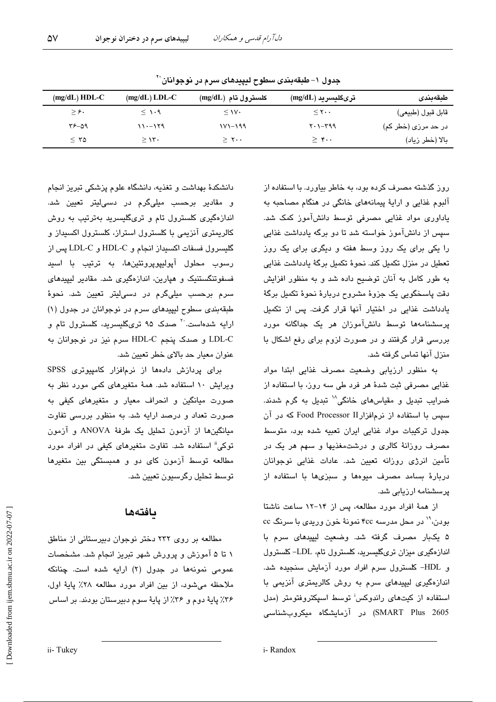| $(mg/dL) HDL-C$ | $(mg/dL)$ LDL-C | كلسترول تام (mg/dL) | ترىگليسريد (mg/dL)       | طبقەبندى            |
|-----------------|-----------------|---------------------|--------------------------|---------------------|
| $\geq$ ۶.       | $\leq$ 1.9      | $\leq$ 1V $\cdot$   | $\leq$ Y $\cdot$ $\cdot$ | قابل قبول (طبيعي)   |
| 09-37           | $11 - 179$      | $111 - 199$         | $Y \cdot 1 - Y99$        | در حد مرزی (خطر کم) |
| $\leq$ 70       | $\geq$ 1۳۰      | $\geq$ ۲            | $>$ ۴                    | بالا (خطر زياد)     |

جدول ١- طبقهبندي سطوح لبيبدهاي سرم در نوجوانان``

روز گذشته مصرف کرده بود، به خاطر بیاورد. با استفاده از آلبوم غذایی و ارایهٔ پیمانههای خانگی در هنگام مصاحبه به یاداوری مواد غذایی مصرفی توسط دانشآموز کمک شد. سپس از دانشآموز خواسته شد تا دو پرگه پادداشت غذایی را یکی برای یک روز وسط هفته و دیگری برای یک روز تعطیل در منزل تکمیل کند. نحوهٔ تکمیل برگهٔ یادداشت غذایی په طور کامل په آنان توضیح داده شد و په منظور افزایش دقت پاسخگویی یک جزوهٔ مشروح دربارهٔ نحوهٔ تکمیل برگهٔ یادداشت غذایی در اختیار آنها قرار گرفت. پس از تکمیل پرسشنامهها توسط دانشآموزان هر یک جداگانه مورد بررسی قرار گرفتند و در صورت لزوم برای رفع اشکال با منزل آنها تماس گرفته شد.

به منظور ارزیابی وضعیت مصرف غذایی ابتدا مواد غذایی مصرفی ثبت شدهٔ هر فرد طی سه روز، با استفاده از ضرایب تبدیل و مقیاسهای خانگی<sup>۱۸</sup> تبدیل به گرم شدند. سیس با استفاده از نرمافزارTood Processor II که در آن جدول ترکیبات مواد غذایی ایران تعبیه شده بود، متوسط مصرف روزانهٔ کالری و درشتمغذیها و سهم هر یک در تأمین انرژی روزانه تعیین شد. عادات غذایی نوجوانان دربارهٔ بسامد مصرف میوهها و سبزیها با استفاده از یرسشنامه ارزیابی شد.

از همهٔ افراد مورد مطالعه، پس از ۱۴-۱۲ ساعت ناشتا بودن، `` در محل مدرسه ۴cc نمونهٔ خون وریدی با سرنگ cc ۵ یکبار مصرف گرفته شد. وضعیت لیپیدهای سرم با اندازهگیری میزان تریگلیسرید، کلسترول تام، LDL-کلسترول و HDL– کلسترول سرم افراد مورد آزمایش سنجیده شد. اندازهگیری لیپیدهای سرم به روش کالریمتری آنزیمی با استفاده از کیتهای راندوکس<sup>ا</sup> توسط اسپکتروفتومتر (مدل SMART Plus 2605) در آزمایشگاه میکروبشناسی

دانشکدهٔ مهداشت و تغذیه، دانشگاه علوم پزشکی تبریز انجام و مقادیر برحسب میلیگرم در دسی!یتر تعیین شد. اندازهگیری کلسترول تام و تریگلیسرید بهترتیب به روش کالریمتری آنزیمی یا کلسترول استراز، کلسترول اکسیداز و گلیسرول فسفات اکسیداز انجام و HDL-C و LDL-C پس از رسوب محلول آيوليپويرونئينها، به ترتيب با اسيد فسفوتنگستنیک و هیارین، اندازهگیری شد. مقادیر لیپیدهای سرم برحسب میلیگرم در دسی!یتر تعیین شد. نحوهٔ طبقهبندی سطوح لیپیدهای سرم در نوجوانان در جدول (۱) ارایه شدهاست.<sup>۲۰</sup> صدک ۹۵ تریگلیسرید، کلسترول تام و LDL-C و صدک پنجم HDL-C سرم نیز در نوجوانان به عنوان معیار حد بالای خطر تعیین شد.

برای پردازش دادهها از نرمافزار کامپیوتری SPSS ویرایش ۱۰ استفاده شد. همهٔ متغیرهای کمی مورد نظر به صورت میانگین و انحراف معیار و متغیر*های* کیفی به صورت تعداد و درصد ارایه شد. به منظور بررسی تفاوت میانگینها از آزمون تحلیل یک طرفهٔ ANOVA و آزمون توکی" استفاده شد. تفاوت متغیرهای کیفی در افراد مورد مطالعه توسط آزمون کای دو و همبستگی بین متغیرها توسط تحليل رگرسيون تعيين شد.

### بافتهها

مطالعه بر روی ۲۳۲ دختر نوجوان دبیرستانی از مناطق ۱ تا ۵ آموزش و پرورش شهر تبریز انجام شد. مشخصات عمومی نمونهها در جدول (۲) ارایه شده است. چنانکه ملاحظه میشود، از بین افراد مورد مطالعه ۲۸٪ پایهٔ اول، ۳۶٪ پایهٔ دوم و ۳۶٪ از پایهٔ سوم دبیرستان بودند. بر اساس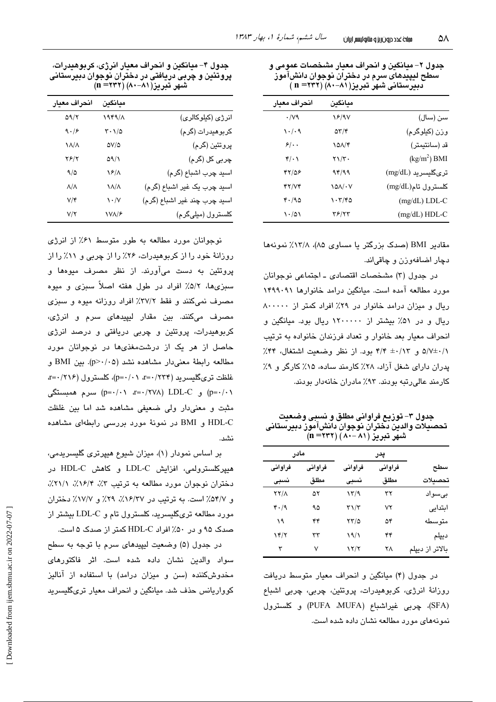| جدول ۲– میانگین و انحراف معیار مشخصات عمومی و |
|-----------------------------------------------|
| سطح ليپيدهای سرم در دختران نوجوان دانش!موز    |
| دبیرستانی شهر تبریز(۸۱−۸۰) (۳۲۲ = n)          |

| انحراف معيار | مىانگىن                   |                    |
|--------------|---------------------------|--------------------|
| $\cdot$ /vq  | 18/97                     | سن (سال)           |
| ۱۰/۰۹        | $\Delta \tau / \tau$      | وزن (کیلوگرم)      |
| $5/$ .       | 101/4                     | قد (سانتيمتر)      |
| $4\cdot 1$   | $\tau \setminus / \tau$ . | $(kg/m2)$ BMI      |
| 47158        | 94/99                     | ترىگليسريد (mg/dL) |
| YY/YY        | ۱۵۸/۰۷                    | كلسترول تام(mg/dL) |
| 4.190        | ۱۰۳/۴۵                    | $(mg/dL)$ LDL-C    |
| $\cdot$ /01  | ۳۶/۲۳                     | (mg/dL) HDL-C      |

مقادیر BMI (صدک بزرگتر یا مساوی ۸۵)، ۱۳/۸٪ نمونهها دچار اضافهوزن و چاقیاند.

در جدول (۳) مشخصات اقتصادی ـ اجتماعی نوجوانان مورد مطالعه آمده است. مبانگین درامد خانوارها ۱۴۹۹۰۹۱ ريال و ميزان درامد خانوار در ٢٩٪ افراد كمتر از ٨٠٠٠٠٠ ریال و در ۵۱٪ بیشتر از ۱۲۰۰۰۰۰ ریال بود. میانگین و انحراف معبار بعد خانوار و تعداد فرزندان خانواده به ترتیب ۵/۷±۰/۱۲ و ۴/۴ ±۰/۱۳ بود. از نظر وضعیت اشتغال، ۴۴٪ پدران دارای شغل آزاد، ۲۸٪ کارمند ساده، ۱۵٪ کارگر و ۹٪ کارمند عالی رتبه بودند. ۹۳٪ مادران خانهدار بودند.

جدول ۳– توزیع فراوانی مطلق و نسبی وضعیت تحصيلات والدين دختران نوجوان دانش[موز دبيرستانى شهَر تبريز ( ۸۱ –۸۰) (۲۳۲ (n

| مادر        |         | پدر                  |         |                 |
|-------------|---------|----------------------|---------|-----------------|
| فراواني     | فراواني | فراواني              | فراواني | سطح             |
| نسبى        | مطلق    | نسبى                 | مطلق    | تحصىلات         |
| <b>TY/1</b> | ۵۲      | ۱۳/۹                 | ۳۲      | بے سواد         |
| 4.19        | ۹۵      | $\tau\gamma/\tau$    | ۷۲      | ابتدايي         |
| ۱۹          | ۴۴      | ۲۳/۵                 | ۵۴      | متو سطه         |
| ۱۴/۲        | ٣٣      | 19/1                 | ۴۴      | ديپلم           |
| ٣           | ٧       | $\frac{1}{\sqrt{2}}$ | ۲۸      | بالاتر از ديپلم |

در جدول (۴) میانگین و انحراف معیار متوسط دریافت روزانهٔ انرژی، کربوهیدرات، پروتئین، چربی، چربی اشباع (SFA)، چربی غیراشباع (PUFA ،MUFA) و کلسترول نمونههای مورد مطالعه نشان داده شده است.

جدول ۴– میانگین و انحراف معیار انرژی، کربوهیدرات، پروتئین و چربی دریافتی در دختران نوجوان دبیرستانی شهر تبریز(۸۱–۸۰) (۲۳۲= n)

| انحراف معيار           | ميانگين                                  |                              |
|------------------------|------------------------------------------|------------------------------|
| $\Delta \gamma/\gamma$ | 1949/1                                   | انرژی (کیلوکالری)            |
| 9.19                   | $\mathbf{r} \cdot \mathbf{1}/\mathbf{r}$ | کربوهیدرات (گرم)             |
| $\lambda/\lambda$      | $\Delta V/\Delta$                        | پروتئين (گرم)                |
| ۲۶/۲                   | ۵۹/۱                                     | چربی کل (گرم)                |
| 9/0                    | $\sqrt{2}/\Lambda$                       | اسيد چرب اشباع (گرم)         |
| $\Lambda/\Lambda$      | $\lambda/\lambda$                        | اسید چرب یک غیر اشباع (گرم)  |
| $V/\mathfrak{r}$       | $\sqrt{\cdot}$                           | اسيد چرب چند غير اشباع (گرم) |
| V/Y                    | <b><i>NVA/۶</i></b>                      | كلسترول (ميلىگرم)            |

نوجوانان مورد مطالعه به طور متوسط ۶۱٪ از انرژی روزانهٔ خود را از کربوهیدرات، ۲۶٪ را از چربی و ۱۱٪ را از پروتئین به دست میآورند. از نظر مصرف میوهها و سبزیها، ۵/۲٪ افراد در طول هفته اصلاً سبزی و میوه مصرف نمیکنند و فقط ۲۷/۲٪ افراد روزانه میوه و سبزی مصرف میکنند. بین مقدار لیپیدهای سرم و انرژی، کربوهیدرات، پروتئین و چربی دریافتی و درصد انرژی حاصل از هر یک از درشتمغذیها در نوجوانان مورد مطالعه رابطة معنى دار مشاهده نشد (p>٠/٠۵). بين BMI و غلظت ترىگليسريد (۲۳۴/ ·= a=٠/٢١)، كلسترول (٢١٤/ ·= a=٠/٢١٤) و D=۰/۰۱ (۲۷۸ (۲۷۸ (۰٫۹-۵  $p = \cdot / \cdot \cdot$  سرم همبستگی (p=۰/۰۱ مثبت و معنیدار ولی ضعیفی مشاهده شد اما بین غلظت HDL-C و BMI در نمونهٔ مورد بررسی رابطهای مشاهده نشد.

بر اساس نمودار (۱)، میزان شیوع هیپرتری گلیسریدمی، هیپرکلسترولمی، افزایش LDL-C و کاهش HDL-C در دختران نوجوان مورد مطالعه به ترتیب ۳٪، ۱۶/۴٪، ۲۱/۱٪. و ۵۴/۷٪ است. به ترتیب در ۱۶/۳۷٪، ۲۹٪ و ۱۷/۷٪ دختران مورد مطالعه تریگلیسرید، کلسترول تام و LDL-C بیشتر از صدک ۹۵ و در ۵۰٪ افراد HDL-C کمتر از صدک ۵ است.

در جدول (۵) وضعیت لیپیدهای سرم با توجه به سطح سواد والدین نشان داده شده است. اثر فاکتورهای مخدوش کننده (سن و میزان درامد) با استفاده از آنالیز کوواریانس حذف شد. میانگین و انحراف معیار تریگلیسرید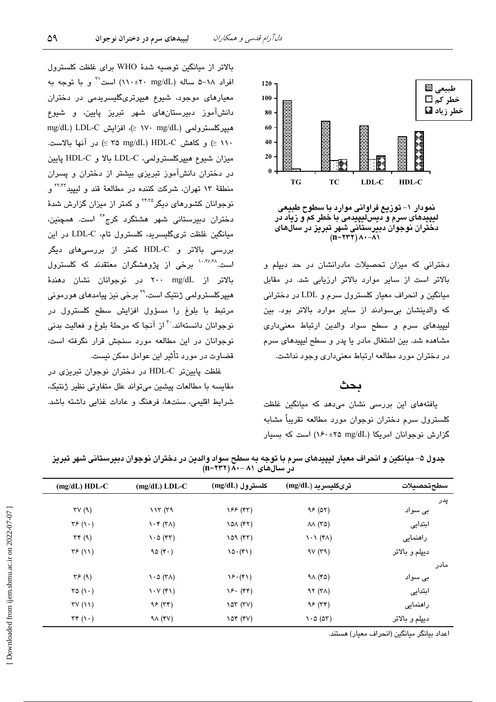

نمودار ۱– توزیع فراوانی موارد با سطوح طبیعی لیپیدهای سرم و دیس لیپیدمی با خطر کم و زیاد در<br>لیپیدهای سرم و دیس لیپیدمی با خطر کم و زیاد در<br>دختران نوجوان دبیرستانی شهر تبریز در سال *های* 

دخترانی که میزان تحصیلات مادرانشان در حد دیپلم و بالاتر است از سایر موارد بالاتر ارزیابی شد. در مقابل میانگین و انحراف معیار کلسترول سرم و LDL در دخترانی که والدینشان بی سوادند از سایر موارد بالاتر بود. بین لیپیدهای سرم و سطح سواد والدین ارتباط معنیداری مشاهده شد. بین اشتغال مادر یا پدر و سطح لیپیدهای سرم در دختران مورد مطالعه ارتباط معنىدارى وجود نداشت.

## ىحث

یافتههای این بررسی نشان میدهد که میانگین غلظت كلسترول سرم دختران نوجوان مورد مطالعه تقريباً مشابه گزارش نوجوانان امریکا (۲۵ x۶۰±۱۶۰) است که بسیار

بالاتر از میانگین توصیه شدهٔ WHO برای غلظت کلسترول افراد ٦٨-۵ ساله (٣٠٠±٢٠ ١١٠) است<sup>71</sup> و با توجه به معیارهای موجود، شیوع هیپرتریگلیسریدمی در دختران دانشآموز دبیرستانهای شهر تبریز پایین، و شیوع mg/dL) LDL-C د/ ۱۷۰ mg/dL) میپرکلسترولمی (۱۷۰ mg/dL ۱۱۰ ≤) و كاهش HDL-C (P × o mg/dL (۲۵ × ) در آنها بالاست. ميزان شيوع هيپركلسترولمي، LDL-C بالا و HDL-C پايين در دختران دانشآموز تبریزی بیشتر از دختران و پسران منطقهٔ ۱۳ تهران، شرکت کننده در مطالعهٔ قند و لیپید<sup>۲۲٬۲۲</sup> و نوجوانان کشورهای دیگر<sup>۲۴،۲۵</sup> و کمتر از میزان گزارش شدهٔ دختران دبیرستانی شهر هشتگرد کرج<sup>۲۶</sup> است. همچنین، میانگین غلظت تریگلیسرید، کلسترول تام، LDL-C در این بررسی بالاتر و HDL-C کمتر از بررسی های دیگر است.<sup>۱۰،۲۷،۲۸</sup> برخی از پژوهشگران معتقدند که کلسترول .<br>بالاتر از mg/dL ۲۰۰ در نوجوانان نشان دهندهٔ ھیپرکلسترولمی ژنتیک است،<sup>۲۹</sup> برخی نیز پیامد*ھ*ای ھورمونی مرتبط با بلوغ را مسؤول افزایش سطح کلسترول در نوجوانان دانستهاند.<sup>۳۰</sup> از آنجا که مرحلهٔ بلوغ و فعالیت بدن*ی* نوجوانان در این مطالعه مورد سنجش قرار نگرفته است، قضاوت در مورد تأثیر این عوامل ممکن نیست.

<u>غلظت پایینتر HDL-C در دختران نوجوان تیریزی در</u> مقایسه با مطالعات پیشین میتواند علل متفاوتی نظیر ژنتیک، شرایط اقلیمی، سنتها، فرهنگ و عادات غذایی داشته باشد.

|      | در سالهای ۸۱ –۸۰ (۱۱۱ =۱۱) |                                          |                             |                                             |                      |
|------|----------------------------|------------------------------------------|-----------------------------|---------------------------------------------|----------------------|
|      | سطحتحصيلات                 | $(mg/dL)$ ترىگليسريد                     | كلسترول (mg/dL)             | $(mg/dL)$ LDL-C                             | $(mg/dL) HDL-C$      |
| پدر  |                            |                                          |                             |                                             |                      |
|      | بی سواد                    | 95(07)                                   | (۴۳) ۱۶۶                    | 117(79)                                     | TV(9)                |
|      | ابتدايى                    | $\lambda\lambda$ (۳۵)                    | $\lambda$ $\Delta$ (۴۲)     | $\lambda \cdot \mathfrak{r}$ (۳ $\lambda$ ) | $\tau$ ۶ $($ ۱ · $)$ |
|      | راهنمایی                   | $\lambda \cdot \lambda$ (۴۸)             | 109 (rr)                    | $\cdot \circ$ (۴۳)                          | $\tau \tau$ (9)      |
|      | ديپلم و بالاتر             | 9V(r9)                                   | $10 \cdot (51)$             | 90 $(r \cdot)$                              | $\tau$ $(11)$        |
| مادر |                            |                                          |                             |                                             |                      |
|      | بی سواد                    | 91 (۴۵)                                  | $\mathcal{S}(\mathfrak{k})$ | $\lambda \cdot \Delta$ (۳۸)                 | $\tau$ ۶ (۹)         |
|      | ابتدايي                    | 97 (7)                                   | $Y$ $(5)$                   | $\lambda \cdot \lambda (\kappa)$            | ra(1)                |
|      | راهنمایی                   | 95 (77)                                  | $\lambda$                   | 95 (77)                                     | TV(11)               |
|      | ديپلم و بالاتر             | $\lambda \cdot \Delta$ ( $\Delta \tau$ ) | $\lambda$ or $(VV)$         | $9\Lambda$ (۴۷)                             | $\tau \tau (\cdot)$  |

جدول ۵– میانگین و انحراف معیار لیپیدهای سرم با توجه به سطح سواد والدین در دختران نوجوان دبیرستانی شهر تبریز

اعداد بيانگر ميانگين (انحراف معيار) هستند.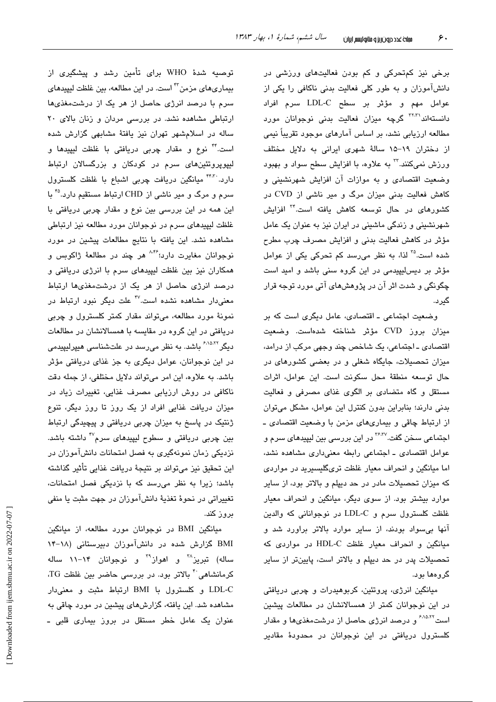برخی نیز کمتحرکی و کم بودن فعالیتهای ورزشی در دانشآموزان و به طور کلی فعالیت بدنی ناکافی را یکی از عوامل مهم و مؤثَّر بر سطح LDL-C سرم افراد دانستهاند<sup>۳۲،۳</sup> گرچه میزان فعالیت بدنی نوجوانان مورد مطالعه ارزیابی نشد، بر اساس آمارهای موجود تقریباً نیمی از دختران ١٩–١۵ سالةً شهرى ايرانى به دلايل مختلف ورزش نمیکنند.<sup>۳</sup> به علاوه، با افزایش سطح سواد و بهبود وضعت اقتصادی و به موازات آن افزایش شهرنشینی و کاهش فعالیت بدنی میزان مرگ و میر ناشی از CVD در کشورها*ی* در حال توسعه کاهش یافته است.<sup>۳۴</sup> افزایش شهرنشینی و زندگی ماشینی در ایران نیز به عنوان یک عامل مؤثر در كاهش فعاليت بدنى و افزايش مصرف چرب مطرح شده است.<sup>76</sup> لذا، به نظر میرسد کم تحرکی یکی از عوامل مؤثر بر دیس لیپیدمی در این گروه سنی باشد و امید است چگونگی و شدت اثر آن در پژوهشهای آتی مورد توجه قرار گىر د.

وضعیت اجتماعی ـ اقتصادی، عامل دیگری است که بر میزان بروز CVD مؤثر شناخته شدهاست. وضعیت اقتصادی ـ اجتماعی، یک شاخص چند وجهی مرکب از درامد، میزان تحصیلات، جایگاه شغلی و در یعضی کشورهای در حال توسعه منطقة محل سكونت است. اين عوامل، اثرات مستقل و گاه متضادی بر الگوی غذای مصرفی و فعالیت بدنی دارند؛ بنابراین بدون کنترل این عوامل، مشکل میتوان از ارتباط چاقی و بیماریهای مزمن با وضعیت اقتصادی ـ اجتماعی سخن گفت.<sup>۲۶،۳۷</sup> در این بررسی بین لیپید*ه*ای سرم و عوامل اقتصادی ـ اجتماعی رابطه معنیداری مشاهده نشد، اما میانگین و انحراف معیار غلظت تریگلیسیرید در مواردی که میزان تحصیلات مادر در حد دیپلم و بالاتر بود، از سایر موارد بیشتر بود. از سوی دیگر، میانگین و انحراف معیار غلظت کلسترول سرم و LDL-C در نوجوانانی که والدین آنها بی سواد بودند، از سایر موارد بالاتر براورد شد و مبانگین و انحراف معبار غلظت HDL-C در مواردی که تحصیلات پدر در حد دیپلم و بالاتر است، پایینتر از سایر گروهها بود.

میانگین انرژی، پروتئین، کربوهیدرات و چربی دریافتی در این نوجوانان کمتر از همسالانشان در مطالعات پیشین است<sup>۶٬۱۵٬۲۲</sup> و درصد انرژی حاصل از درشتم**غ**ذیها و مقدار کلسترول دریافتی در این نوجوانان در محدودهٔ مقادیر

توصیه شدهٔ WHO برای تأمین رشد و پیشگیری از بیماریهای مزمن<sup>۳۲</sup> است. در این مطالعه، بین غلظت لیپیدهای سرم با درصد انرژی حاصل از هر یک از درشتمغذیها ارتباطی مشاهده نشد. در بررسی مردان و زنان بالای ٢٠ ساله در اسلامشهر تهران نیز یافتهٔ مشابهی گزارش شده است." نوع و مقدار چربی دریافتی با غلظت لیپیدها و لیپوپروتئینهای سرم در کودکان و بزرگسالان ارتباط دارد. ً<sup>۴۴۳</sup> میانگین دریافت چربی اشباع با غلظت کلسترول سرم و مرگ و میر ناشی از CHD ارتباط مستقیم دارد.°<sup>۴</sup> با این همه در این بررسی بین نوع و مقدار چربی دریافتی با غلظت لیپیدهای سرم در نوجوانان مورد مطالعه نیز ارتباطی مشاهده نشد. این یافته با نتایج مطالعات پیشین در مورد نوجوانان مغايرت دارد:<sup>۸،۴۶</sup> هر چند در مطالعهٔ ژاکوبس و همکاران نیز بین غلظت لیپیدهای سرم با انرژی دریافتی و درصد انرژی حاصل از هر یک از درشتمغذیها ارتباط معنیدار مشاهده نشده است.<sup>۴۷</sup> علت دیگر نبود ارتباط در نمونهٔ مورد مطالعه، میتواند مقدار کمتر کلسترول و چربی دریافتی در این گروه در مقایسه با همسالانشان در مطالعات دیگر<sup>۶،۱۵،۲۲</sup> باشد. به نظر می٫رسد در علتشناسی هیپرلیپیدمی در این نوجوانان، عوامل دیگری به جز غذای دریافتی مؤثر باشد. به علاوه، این امر میتواند دلایل مختلفی، از جمله دقت ناکافی در روش ارزیابی مصرف غذایی، تغییرات زیاد در میزان دریافت غذایی افراد از یک روز تا روز دیگر، تنوع ژنتیک در پاسخ به میزان چربی دریافتی و پیچیدگی ارتباط بین چربی دریافتی و سطوح لیپید*ه*ای سرم<sup>۴۷</sup> داشته باشد. نزدیکی زمان نمونهگیری به فصل امتحانات دانشآموزان در این تحقیق نیز میتواند بر نتیجهٔ دریافت غذایی تأثیر گذاشته باشد؛ زیرا به نظر می رسد که با نزدیکی فصل امتحانات، تغییراتی در نحوهٔ تغذیهٔ دانشآموزان در جهت مثبت یا منفی بروز کند.

میانگین BMI در نوجوانان مورد مطالعه، از میانگین BMI گزارش شده در دانشآموزان دبیرستانی (۱۸-۱۴ ساله) تبریز<sup>۳۸</sup> و اهواز<sup>۳۹</sup> و نوجوانان ۱۴–۱۱ ساله کرمانشاهی<sup>۴۰</sup> بالاتر بود. در بررسی حاضر بین غلظت TG، LDL-C و کلسترول با BMI ارتباط مثبت و معنى دار مشاهده شد. این یافته، گزارشهای پیشین در مورد چاقی به عنوان یک عامل خطر مستقل در بروز بیماری قلبی ـ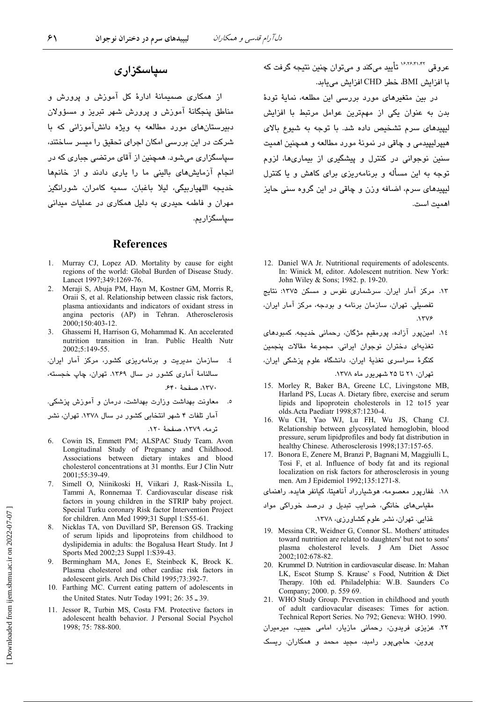## سیاسگزاری

از همکاری صمیمانهٔ ادارهٔ کل آموزش و پرورش و مناطق پنجگانهٔ آموزش و پرورش شهر تبریز و مسؤولان دبیرستانهای مورد مطالعه به ویژه دانشآموزانی که با شرکت در این بررسی امکان اجرای تحقیق را میسر ساختند، سپاسگزاری میشود. همچنین از آقای مرتضی جباری که در انجام آزمایش های بالینی ما را باری دادند و از خانمها .<br>خديجه اللهياربيگي، ليلا باغبان، سميه كامران، شورانگيز مهران و فاطمه حیدری به دلیل همکاری در عملیات میدانی سیاسگزاریم.

### **References**

- Murray CJ, Lopez AD. Mortality by cause for eight  $1$ regions of the world: Global Burden of Disease Study. Lancet 1997;349:1269-76.
- 2. Meraji S, Abuja PM, Hayn M, Kostner GM, Morris R, Oraii S, et al. Relationship between classic risk factors, plasma antioxidants and indicators of oxidant stress in angina pectoris (AP) in Tehran. Atherosclerosis 2000;150:403-12.
- Ghassemi H, Harrison G, Mohammad K. An accelerated nutrition transition in Iran. Public Health Nutr 2002;5:149-55.

٤. سازمان مديريت و برنامهريزى كشور، مركز آمار ايران. سالنامهٔ آماری کشور در سال ۱۳۶۹. تهران، چاپ خجسته، ١٣٧٠، صفحة ٤٤٠.

معاونت بهداشت وزارت بهداشت، درمان و آموزش پزشکی. آمار تلفات ۴ شهر انتخابی کشور در سال ۱۳۷۸. تهران، نشر

ترمه، ١٣٧٩، صفحهٔ ١٢٠.

- 6. Cowin IS, Emmett PM; ALSPAC Study Team. Avon Longitudinal Study of Pregnancy and Childhood. Associations between dietary intakes and blood cholesterol concentrations at 31 months. Eur J Clin Nutr 2001:55:39-49.
- Simell O, Niinikoski H, Viikari J, Rask-Nissila L,  $7<sub>1</sub>$ Tammi A, Ronnemaa T. Cardiovascular disease risk factors in young children in the STRIP baby project. Special Turku coronary Risk factor Intervention Project for children. Ann Med 1999;31 Suppl 1:S55-61.
- 8. Nicklas TA, von Duvillard SP, Berenson GS. Tracking of serum lipids and lipoproteins from childhood to dyslipidemia in adults: the Bogalusa Heart Study. Int J Sports Med 2002;23 Suppl 1:S39-43.
- Bermingham MA, Jones E, Steinbeck K, Brock K. 9 Plasma cholesterol and other cardiac risk factors in adolescent girls. Arch Dis Child 1995;73:392-7.
- 10. Farthing MC. Current eating pattern of adolescents in the United States. Nutr Today 1991; 26: 35 - 39.
- 11. Jessor R, Turbin MS, Costa FM. Protective factors in adolescent health behavior. J Personal Social Psychol 1998: 75: 788-800.

عروقي <sup>۱۶٬۲۶٬۴۱٬۴۲</sup> تأييد ميكند و مي توان چنين نتيجه گرفت كه با افزايش BMI، خطر CHD افزايش مي بايد.

در بین متغیرهای مورد بررسی این مطلعه، نمایهٔ تودهٔ بدن به عنوان یکی از مهمترین عوامل مرتبط با افزایش لیپیدهای سرم تشخیص داده شد. با توجه به شیوع بالای هيپرليپيدمي و چاقي در نمونهٔ مورد مطالعه و همچنين اهميت سنین نوجوانی در کنترل و پیشگیری از بیماریها، لزوم توجه به این مسأله و برنامهریزی برای کاهش و یا کنترل لیپیدهای سرم، اضافه وزن و چاقی در این گروه سنی حایز اهميت است.

- 12. Daniel WA Jr. Nutritional requirements of adolescents. In: Winick M. editor. Adolescent nutrition. New York: John Wiley & Sons; 1982. p. 19-20.
- ۱۳. مرکز آمار ایران. سرشماری نفوس و مسکن ۱۳۷۵: نتایج

تفصیلی. تهران، سازمان برنامه و بودجه، مرکز آمار ایران،  $NTV$ ۶

- ١٤. امینپور آزاده، پورمقیم مژگان، رحمانی خدیجه. کمبودهای تغذیهای دختران نوجوان ایرانی. مجموعهٔ مقالات پنجمین کنگرهٔ سراسری تغذیهٔ ایران، دانشگاه علوم پزشکی ایران، تهران، ۲۱ تا ۲۵ شهریور ماه ۱۳۷۸.
- 15. Morley R, Baker BA, Greene LC, Livingstone MB, Harland PS, Lucas A. Dietary fibre, exercise and serum lipids and lipoprotein cholesterols in 12 to15 year olds.Acta Paediatr 1998;87:1230-4.
- 16. Wu CH, Yao WJ, Lu FH, Wu JS, Chang CJ. Relationship between glycosylated hemoglobin, blood pressure, serum lipidprofiles and body fat distribution in healthy Chinese. Atherosclerosis 1998;137:157-65.
- 17. Bonora E, Zenere M, Branzi P, Bagnani M, Maggiulli L, Tosi F, et al. Influence of body fat and its regional localization on risk factors for atherosclerosis in young men. Am J Epidemiol 1992;135:1271-8.

۱۸. غفارپور معصومه، هوشیارراد آناهیتا، کیانفر هایده. راهنمای

- 19. Messina CR, Weidner G, Connor SL. Mothers' attitudes toward nutrition are related to daughters' but not to sons' plasma cholesterol levels. J Am Diet Assoc 2002;102:678-82.
- 20. Krummel D. Nutrition in cardiovascular disease. In: Mahan LK, Escot Stump S. Krause' s Food, Nutrition & Diet Therapy. 10th ed. Philadelphia: W.B. Saunders Co. Company; 2000. p. 559 69.
- 21. WHO Study Group. Prevention in childhood and youth of adult cardiovacular diseases: Times for action. Technical Report Series. No 792; Geneva: WHO. 1990.

۲۲. عزیزی فریدون، رحمانی مازیار، امامی حبیب، میرمیران

پروین، حاجیپور رامبد، مجید محمد و همکاران. ریسک